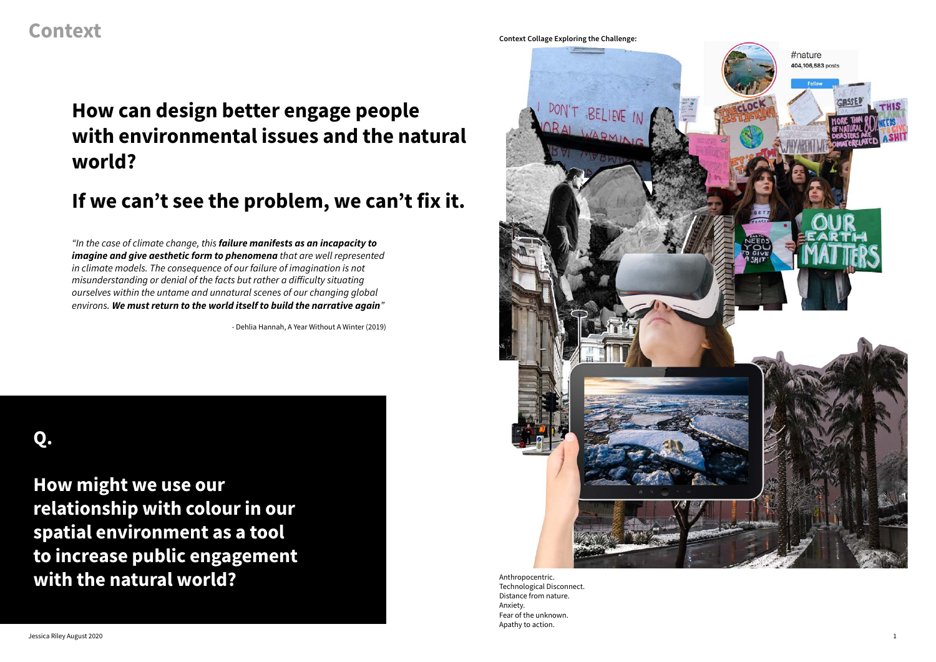Anthropocentric. Technological Disconnect. Distance from nature. Anxiety. Fear of the unknown. Apathy to action.

**Q.** 

**How might we use our relationship with colour in our spatial environment as a tool to increase public engagement with the natural world?**



### **If we can't see the problem, we can't fix it.**

### **Context Collage Exploring the Challenge:**

# **How can design better engage people with environmental issues and the natural world?**

- Dehlia Hannah, A Year Without A Winter (2019)

*"In the case of climate change, this failure manifests as an incapacity to imagine and give aesthetic form to phenomena that are well represented in climate models. The consequence of our failure of imagination is not misunderstanding or denial of the facts but rather a difficulty situating ourselves within the untame and unnatural scenes of our changing global environs. We must return to the world itself to build the narrative again"*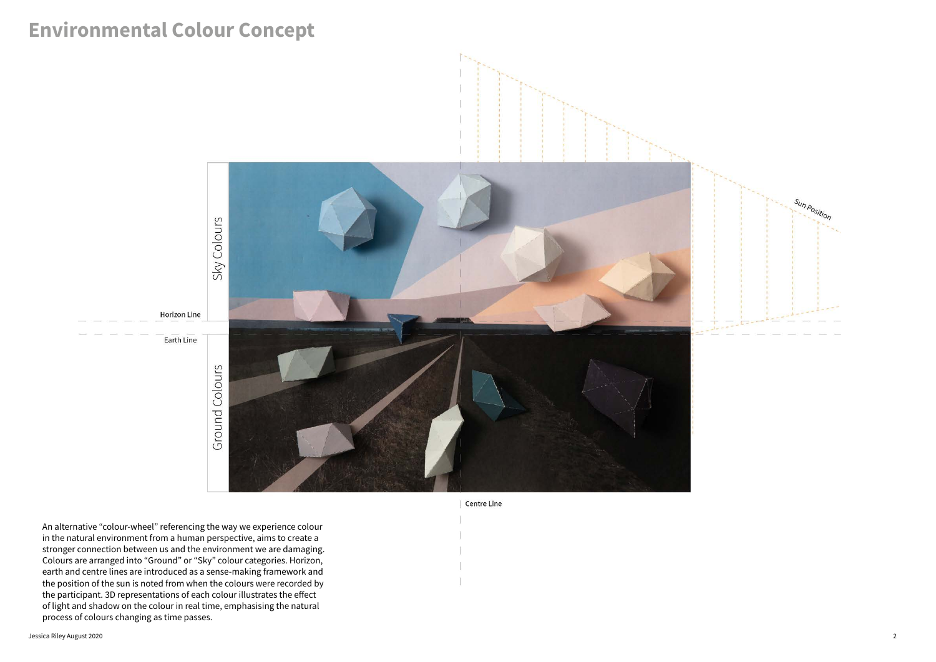

An alternative "colour-wheel" referencing the way we experience colour in the natural environment from a human perspective, aims to create a stronger connection between us and the environment we are damaging. Colours are arranged into "Ground" or "Sky" colour categories. Horizon, earth and centre lines are introduced as a sense-making framework and the position of the sun is noted from when the colours were recorded by the participant. 3D representations of each colour illustrates the effect of light and shadow on the colour in real time, emphasising the natural process of colours changing as time passes.

# **Environmental Colour Concept**



**Centre Line**